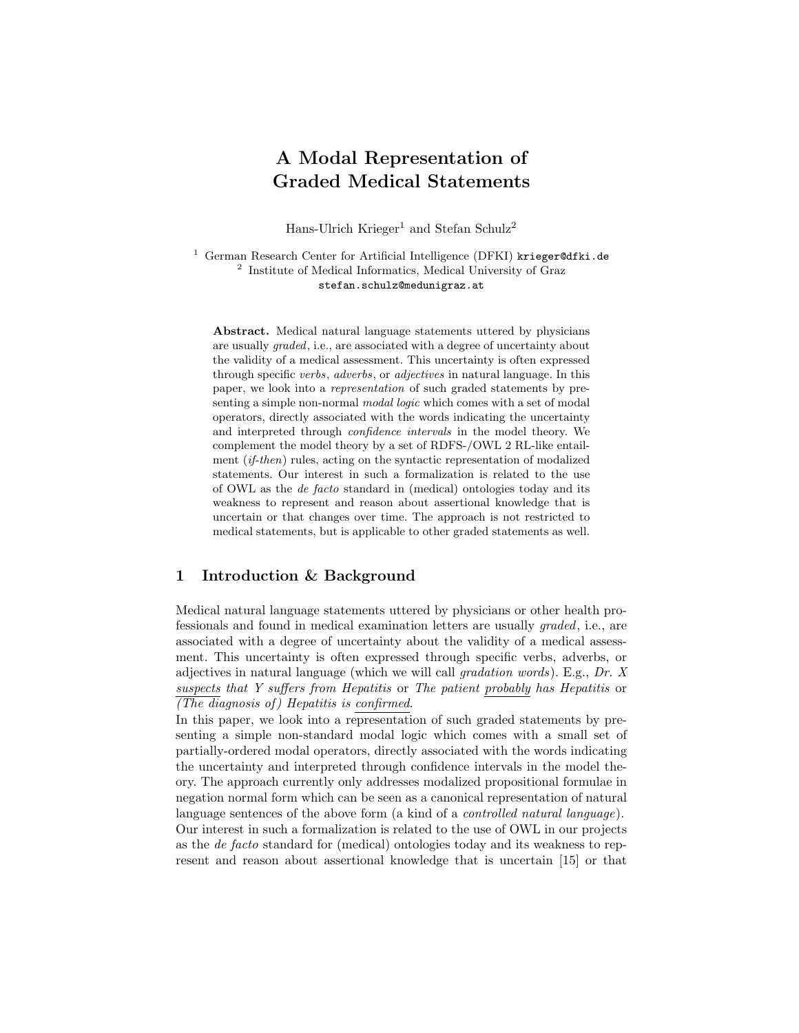# A Modal Representation of Graded Medical Statements

Hans-Ulrich Krieger<sup>1</sup> and Stefan Schulz<sup>2</sup>

<sup>1</sup> German Research Center for Artificial Intelligence (DFKI) krieger@dfki.de <sup>2</sup> Institute of Medical Informatics, Medical University of Graz stefan.schulz@medunigraz.at

Abstract. Medical natural language statements uttered by physicians are usually graded, i.e., are associated with a degree of uncertainty about the validity of a medical assessment. This uncertainty is often expressed through specific verbs, adverbs, or adjectives in natural language. In this paper, we look into a representation of such graded statements by presenting a simple non-normal *modal logic* which comes with a set of modal operators, directly associated with the words indicating the uncertainty and interpreted through confidence intervals in the model theory. We complement the model theory by a set of RDFS-/OWL 2 RL-like entailment (*if-then*) rules, acting on the syntactic representation of modalized statements. Our interest in such a formalization is related to the use of OWL as the de facto standard in (medical) ontologies today and its weakness to represent and reason about assertional knowledge that is uncertain or that changes over time. The approach is not restricted to medical statements, but is applicable to other graded statements as well.

# 1 Introduction & Background

Medical natural language statements uttered by physicians or other health professionals and found in medical examination letters are usually graded, i.e., are associated with a degree of uncertainty about the validity of a medical assessment. This uncertainty is often expressed through specific verbs, adverbs, or adjectives in natural language (which we will call gradation words). E.g., Dr. X suspects that Y suffers from Hepatitis or The patient probably has Hepatitis or (The diagnosis of) Hepatitis is confirmed.

In this paper, we look into a representation of such graded statements by presenting a simple non-standard modal logic which comes with a small set of partially-ordered modal operators, directly associated with the words indicating the uncertainty and interpreted through confidence intervals in the model theory. The approach currently only addresses modalized propositional formulae in negation normal form which can be seen as a canonical representation of natural language sentences of the above form (a kind of a controlled natural language). Our interest in such a formalization is related to the use of OWL in our projects as the de facto standard for (medical) ontologies today and its weakness to represent and reason about assertional knowledge that is uncertain [15] or that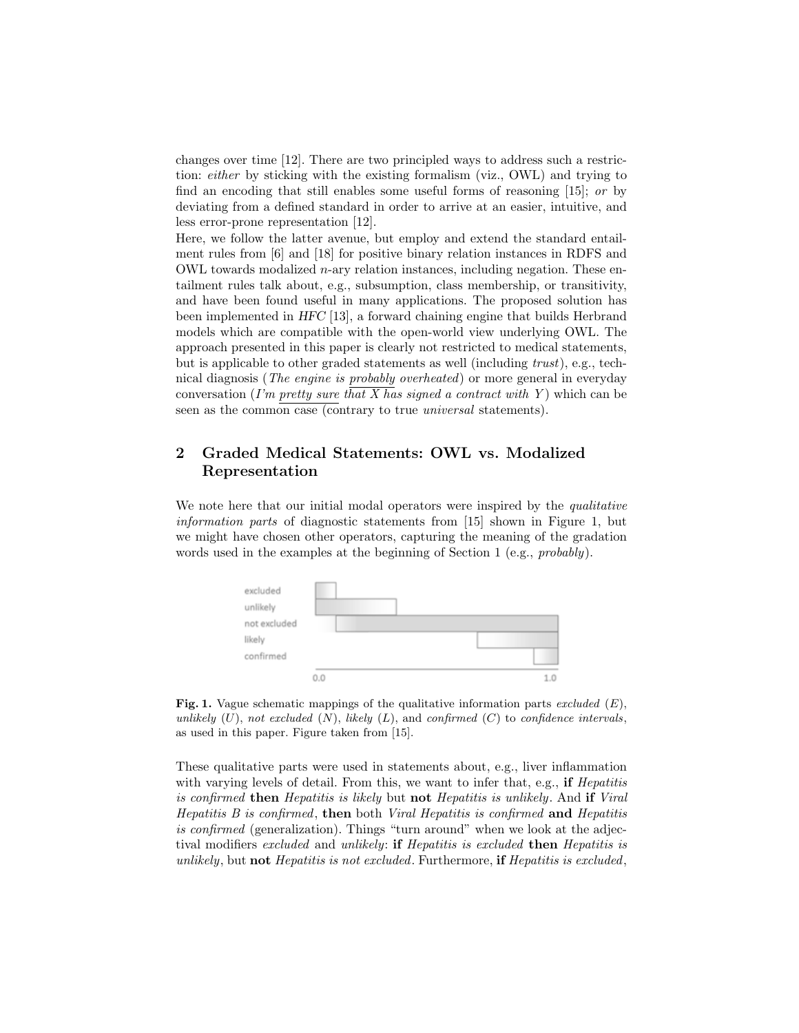changes over time [12]. There are two principled ways to address such a restriction: either by sticking with the existing formalism (viz., OWL) and trying to find an encoding that still enables some useful forms of reasoning [15]; or by deviating from a defined standard in order to arrive at an easier, intuitive, and less error-prone representation [12].

Here, we follow the latter avenue, but employ and extend the standard entailment rules from [6] and [18] for positive binary relation instances in RDFS and OWL towards modalized  $n$ -ary relation instances, including negation. These entailment rules talk about, e.g., subsumption, class membership, or transitivity, and have been found useful in many applications. The proposed solution has been implemented in HFC [13], a forward chaining engine that builds Herbrand models which are compatible with the open-world view underlying OWL. The approach presented in this paper is clearly not restricted to medical statements, but is applicable to other graded statements as well (including  $trust$ ), e.g., technical diagnosis (The engine is probably overheated) or more general in everyday conversation (I'm pretty sure that X has signed a contract with Y) which can be seen as the common case (contrary to true universal statements).

# 2 Graded Medical Statements: OWL vs. Modalized Representation

We note here that our initial modal operators were inspired by the *qualitative* information parts of diagnostic statements from [15] shown in Figure 1, but we might have chosen other operators, capturing the meaning of the gradation words used in the examples at the beginning of Section 1 (e.g., probably).



**Fig. 1.** Vague schematic mappings of the qualitative information parts excluded  $(E)$ , unlikely  $(U)$ , not excluded  $(N)$ , likely  $(L)$ , and confirmed  $(C)$  to confidence intervals, as used in this paper. Figure taken from [15].

These qualitative parts were used in statements about, e.g., liver inflammation with varying levels of detail. From this, we want to infer that, e.g., if *Hepatitis* is confirmed then Hepatitis is likely but not Hepatitis is unlikely. And if Viral Hepatitis  $B$  is confirmed, then both Viral Hepatitis is confirmed and Hepatitis is confirmed (generalization). Things "turn around" when we look at the adjectival modifiers excluded and unlikely: if Hepatitis is excluded then Hepatitis is unlikely, but not Hepatitis is not excluded. Furthermore, if Hepatitis is excluded,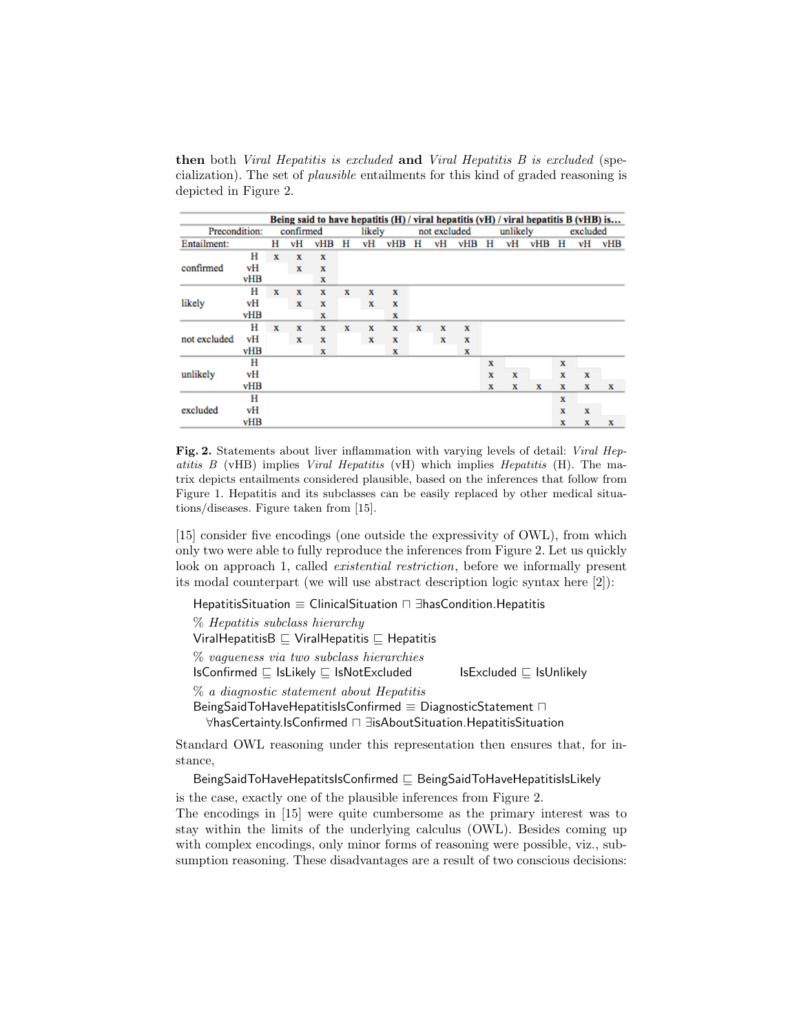then both *Viral Hepatitis is excluded* and *Viral Hepatitis B is excluded* (specialization). The set of plausible entailments for this kind of graded reasoning is depicted in Figure 2.

|               |     |             |             | Being said to have hepatitis $(H)$ / viral hepatitis $(vH)$ / viral hepatitis B $(vHB)$ is |        |    |     |              |    |     |             |    |     |             |             |             |
|---------------|-----|-------------|-------------|--------------------------------------------------------------------------------------------|--------|----|-----|--------------|----|-----|-------------|----|-----|-------------|-------------|-------------|
| Precondition: |     | confirmed   |             |                                                                                            | likely |    |     | not excluded |    |     | unlikely    |    |     | excluded    |             |             |
| Entailment:   |     | н           | vH          | vHB                                                                                        | н      | vH | vHB | н            | vH | vHB | н           | vH | vHB | н           | vH          | vHB         |
| confirmed     | н   | $\mathbf x$ | x           | x                                                                                          |        |    |     |              |    |     |             |    |     |             |             |             |
|               | vH  |             | x           | $\mathbf x$                                                                                |        |    |     |              |    |     |             |    |     |             |             |             |
|               | vHB |             |             | x                                                                                          |        |    |     |              |    |     |             |    |     |             |             |             |
| likely        | н   | $\mathbf x$ | $\bf{x}$    | $\mathbf x$                                                                                | x      | x  | x   |              |    |     |             |    |     |             |             |             |
|               | vH  |             | x           | x                                                                                          |        | x  | x   |              |    |     |             |    |     |             |             |             |
|               | vHB |             |             | x                                                                                          |        |    | x   |              |    |     |             |    |     |             |             |             |
| not excluded  | н   | $\mathbf x$ | x           | x                                                                                          | x      | x  | x   | x            | x  | x   |             |    |     |             |             |             |
|               | vH  |             | $\mathbf x$ | x                                                                                          |        | x  | X   |              | x  | x   |             |    |     |             |             |             |
|               | vHB |             |             | x                                                                                          |        |    | x   |              |    | x   |             |    |     |             |             |             |
| unlikely      | н   |             |             |                                                                                            |        |    |     |              |    |     | $\mathbf x$ |    |     | X           |             |             |
|               | vH  |             |             |                                                                                            |        |    |     |              |    |     | $\mathbf x$ | x  |     | $\mathbf x$ | $\mathbf x$ |             |
|               | vHB |             |             |                                                                                            |        |    |     |              |    |     | x           | x  | х   | x           | $\mathbf x$ | x           |
| excluded      | н   |             |             |                                                                                            |        |    |     |              |    |     |             |    |     | X           |             |             |
|               | vH  |             |             |                                                                                            |        |    |     |              |    |     |             |    |     | $\mathbf x$ | $\mathbf x$ |             |
|               | vHB |             |             |                                                                                            |        |    |     |              |    |     |             |    |     | x           | $\mathbf x$ | $\mathbf x$ |

Fig. 2. Statements about liver inflammation with varying levels of detail: Viral Hepatitis B (vHB) implies Viral Hepatitis (vH) which implies Hepatitis (H). The matrix depicts entailments considered plausible, based on the inferences that follow from Figure 1. Hepatitis and its subclasses can be easily replaced by other medical situations/diseases. Figure taken from [15].

[15] consider five encodings (one outside the expressivity of OWL), from which only two were able to fully reproduce the inferences from Figure 2. Let us quickly look on approach 1, called *existential restriction*, before we informally present its modal counterpart (we will use abstract description logic syntax here [2]):

HepatitisSituation  $\equiv$  ClinicalSituation  $\Box$  ∃hasCondition.Hepatitis % Hepatitis subclass hierarchy ViralHepatitisB  $\sqsubseteq$  ViralHepatitis  $\sqsubseteq$  Hepatitis % vagueness via two subclass hierarchies  $IsConfirmed \sqsubseteq IsLikely \sqsubseteq IsNotExcluded$  Is $Excluded \sqsubseteq IsUnlikely$ % a diagnostic statement about Hepatitis BeingSaidToHaveHepatitisIsConfirmed  $\equiv$  DiagnosticStatement  $\Box$ ∀hasCertainty.IsConfirmed u ∃isAboutSituation.HepatitisSituation

Standard OWL reasoning under this representation then ensures that, for instance,

 $BeingSaidToHaveHepatitsIsConfirmed  $\sqsubseteq$  BeingSaidToHaveHepatitsIsLikely$ 

is the case, exactly one of the plausible inferences from Figure 2.

The encodings in [15] were quite cumbersome as the primary interest was to stay within the limits of the underlying calculus (OWL). Besides coming up with complex encodings, only minor forms of reasoning were possible, viz., subsumption reasoning. These disadvantages are a result of two conscious decisions: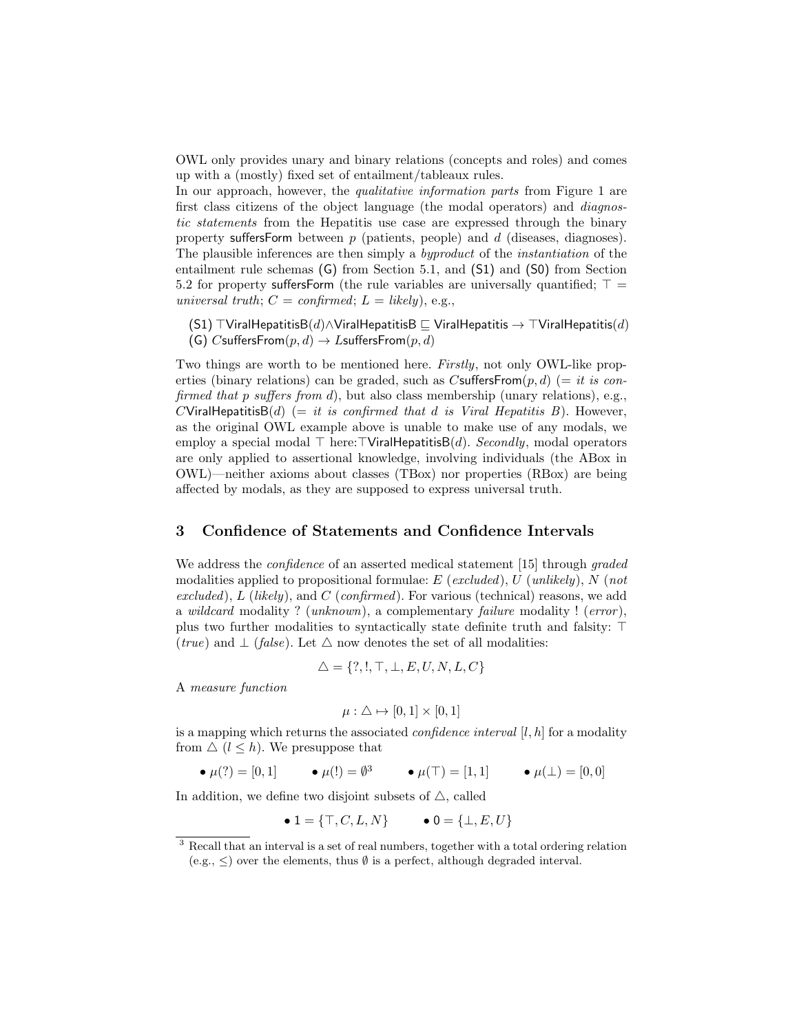OWL only provides unary and binary relations (concepts and roles) and comes up with a (mostly) fixed set of entailment/tableaux rules.

In our approach, however, the *qualitative information parts* from Figure 1 are first class citizens of the object language (the modal operators) and diagnostic statements from the Hepatitis use case are expressed through the binary property suffersForm between  $p$  (patients, people) and  $d$  (diseases, diagnoses). The plausible inferences are then simply a byproduct of the instantiation of the entailment rule schemas (G) from Section 5.1, and (S1) and (S0) from Section 5.2 for property suffersForm (the rule variables are universally quantified;  $\top =$ universal truth;  $C = \text{confirmed}; L = \text{likely}$ ), e.g.,

(S1)  $\top$ ViralHepatitisB(d)∧ViralHepatitisB  $\sqsubset$  ViralHepatitis  $\rightarrow \top$ ViralHepatitis(d) (G) CsuffersFrom $(p, d) \rightarrow L$ suffersFrom $(p, d)$ 

Two things are worth to be mentioned here. *Firstly*, not only OWL-like properties (binary relations) can be graded, such as  $C$ suffersFrom $(p, d)$  (= it is confirmed that p suffers from d), but also class membership (unary relations), e.g., CViralHepatitisB(d) (= it is confirmed that d is Viral Hepatitis B). However, as the original OWL example above is unable to make use of any modals, we employ a special modal  $\top$  here:  $\top$ ViralHepatitisB(d). Secondly, modal operators are only applied to assertional knowledge, involving individuals (the ABox in OWL)—neither axioms about classes (TBox) nor properties (RBox) are being affected by modals, as they are supposed to express universal truth.

# 3 Confidence of Statements and Confidence Intervals

We address the *confidence* of an asserted medical statement [15] through *graded* modalities applied to propositional formulae:  $E$  (excluded),  $U$  (unlikely),  $N$  (not excluded), L (likely), and C (confirmed). For various (technical) reasons, we add a wildcard modality? (unknown), a complementary failure modality! (error), plus two further modalities to syntactically state definite truth and falsity:  $\top$ (*true*) and  $\perp$  (*false*). Let  $\triangle$  now denotes the set of all modalities:

$$
\triangle = \{?, !, \top, \bot, E, U, N, L, C\}
$$

A measure function

$$
\mu : \triangle \mapsto [0,1] \times [0,1]
$$

is a mapping which returns the associated *confidence interval*  $[l, h]$  for a modality from  $\Delta$  ( $l \leq h$ ). We presuppose that

•  $\mu(?) = [0, 1]$  •  $\mu(!) = \emptyset^3$  •  $\mu(\top) = [1, 1]$  •  $\mu(\bot) = [0, 0]$ 

In addition, we define two disjoint subsets of  $\triangle$ , called

$$
\bullet \; 1 = \{\top, C, L, N\} \qquad \bullet \; 0 = \{\bot, E, U\}
$$

<sup>3</sup> Recall that an interval is a set of real numbers, together with a total ordering relation (e.g.,  $\leq$ ) over the elements, thus  $\emptyset$  is a perfect, although degraded interval.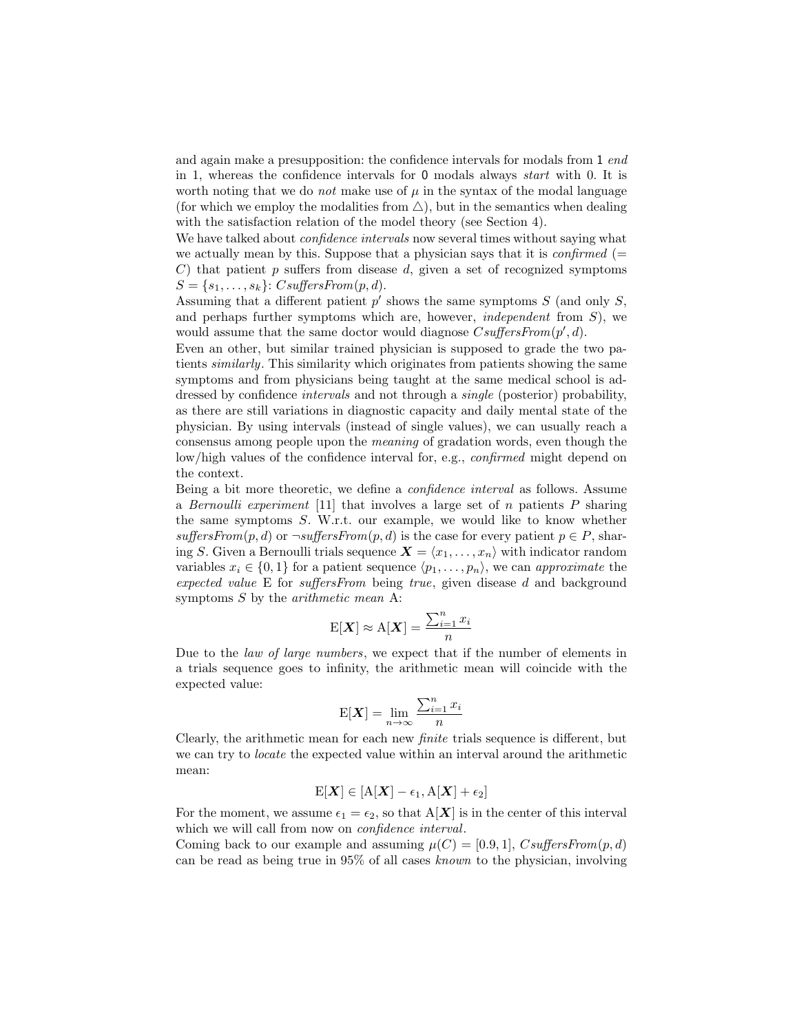and again make a presupposition: the confidence intervals for modals from 1 end in 1, whereas the confidence intervals for 0 modals always start with 0. It is worth noting that we do *not* make use of  $\mu$  in the syntax of the modal language (for which we employ the modalities from  $\triangle$ ), but in the semantics when dealing with the satisfaction relation of the model theory (see Section 4).

We have talked about *confidence intervals* now several times without saying what we actually mean by this. Suppose that a physician says that it is *confirmed* ( $=$  $C$ ) that patient p suffers from disease d, given a set of recognized symptoms  $S = \{s_1, \ldots, s_k\}$ :  $C\text{suffersFrom}(p, d)$ .

Assuming that a different patient  $p'$  shows the same symptoms  $S$  (and only  $S$ , and perhaps further symptoms which are, however, *independent* from  $S$ ), we would assume that the same doctor would diagnose  $C\textit{suffersFrom}(p', d)$ .

Even an other, but similar trained physician is supposed to grade the two patients similarly. This similarity which originates from patients showing the same symptoms and from physicians being taught at the same medical school is addressed by confidence intervals and not through a single (posterior) probability, as there are still variations in diagnostic capacity and daily mental state of the physician. By using intervals (instead of single values), we can usually reach a consensus among people upon the meaning of gradation words, even though the low/high values of the confidence interval for, e.g., *confirmed* might depend on the context.

Being a bit more theoretic, we define a confidence interval as follows. Assume a *Bernoulli experiment* [11] that involves a large set of n patients  $P$  sharing the same symptoms  $S$ . W.r.t. our example, we would like to know whether suffersFrom(p, d) or  $\neg\textit{suffixFrom}(p, d)$  is the case for every patient  $p \in P$ , sharing S. Given a Bernoulli trials sequence  $\mathbf{X} = \langle x_1, \ldots, x_n \rangle$  with indicator random variables  $x_i \in \{0, 1\}$  for a patient sequence  $\langle p_1, \ldots, p_n \rangle$ , we can approximate the expected value E for suffersFrom being true, given disease d and background symptoms S by the *arithmetic mean* A:

$$
E[\boldsymbol{X}] \approx A[\boldsymbol{X}] = \frac{\sum_{i=1}^{n} x_i}{n}
$$

Due to the *law of large numbers*, we expect that if the number of elements in a trials sequence goes to infinity, the arithmetic mean will coincide with the expected value:

$$
E[\boldsymbol{X}] = \lim_{n \to \infty} \frac{\sum_{i=1}^{n} x_i}{n}
$$

Clearly, the arithmetic mean for each new finite trials sequence is different, but we can try to *locate* the expected value within an interval around the arithmetic mean:

$$
E[\boldsymbol{X}] \in [A[\boldsymbol{X}] - \epsilon_1, A[\boldsymbol{X}] + \epsilon_2]
$$

For the moment, we assume  $\epsilon_1 = \epsilon_2$ , so that  $A[X]$  is in the center of this interval which we will call from now on *confidence interval*.

Coming back to our example and assuming  $\mu(C) = [0.9, 1], C\text{suffersFrom}(p, d)$ can be read as being true in 95% of all cases known to the physician, involving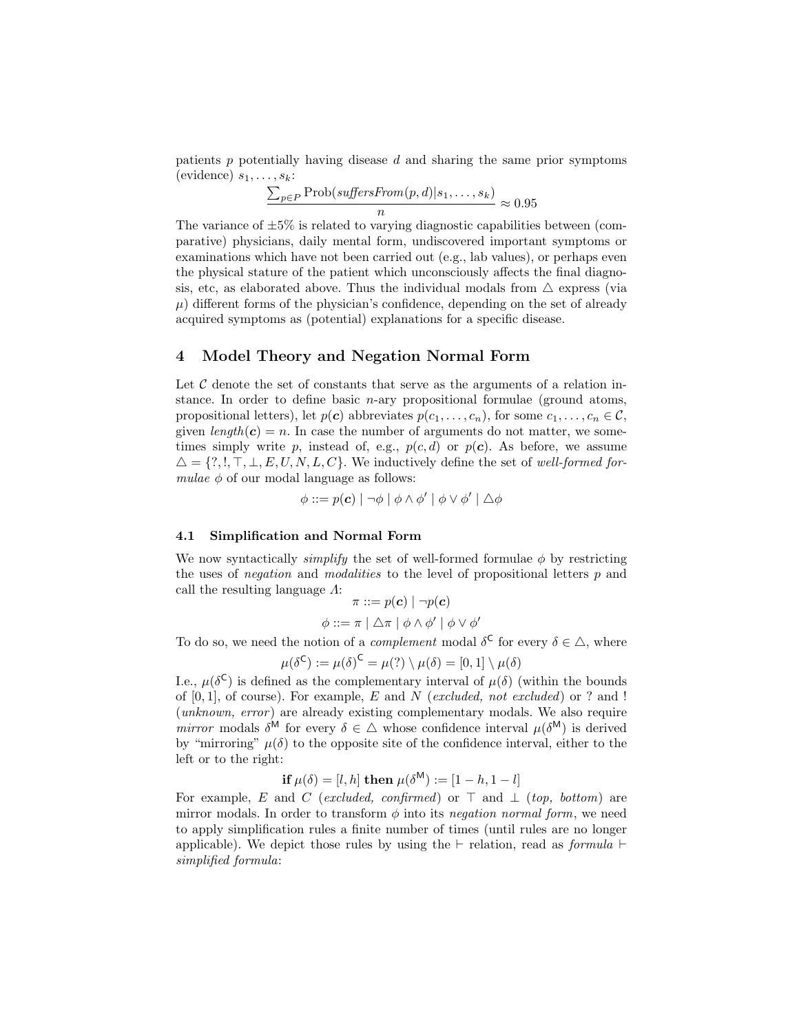patients p potentially having disease d and sharing the same prior symptoms (evidence)  $s_1, \ldots, s_k$ :

$$
\frac{\sum_{p \in P} \text{Prob}(suffersFrom(p, d)|s_1, \dots, s_k)}{n} \approx 0.95
$$

The variance of  $\pm 5\%$  is related to varying diagnostic capabilities between (comparative) physicians, daily mental form, undiscovered important symptoms or examinations which have not been carried out (e.g., lab values), or perhaps even the physical stature of the patient which unconsciously affects the final diagnosis, etc, as elaborated above. Thus the individual modals from  $\triangle$  express (via  $\mu$ ) different forms of the physician's confidence, depending on the set of already acquired symptoms as (potential) explanations for a specific disease.

## 4 Model Theory and Negation Normal Form

Let  $\mathcal C$  denote the set of constants that serve as the arguments of a relation instance. In order to define basic  $n$ -ary propositional formulae (ground atoms, propositional letters), let  $p(c)$  abbreviates  $p(c_1, \ldots, c_n)$ , for some  $c_1, \ldots, c_n \in \mathcal{C}$ , given  $length(c) = n$ . In case the number of arguments do not matter, we sometimes simply write p, instead of, e.g.,  $p(c, d)$  or  $p(c)$ . As before, we assume  $\Delta = \{?, !, \top, \bot, E, U, N, L, C\}$ . We inductively define the set of well-formed formulae  $\phi$  of our modal language as follows:

$$
\phi ::= p(c) | \neg \phi | \phi \land \phi' | \phi \lor \phi' | \triangle \phi
$$

## 4.1 Simplification and Normal Form

We now syntactically *simplify* the set of well-formed formulae  $\phi$  by restricting the uses of *negation* and *modalities* to the level of propositional letters  $p$  and call the resulting language Λ:

$$
\pi ::= p(\mathbf{c}) \mid \neg p(\mathbf{c})
$$

$$
\phi ::= \pi \mid \triangle \pi \mid \phi \land \phi' \mid \phi \lor \phi'
$$

To do so, we need the notion of a *complement* modal  $\delta^{\mathsf{C}}$  for every  $\delta \in \Delta$ , where

$$
\mu(\delta^{\mathsf{C}}) := \mu(\delta)^{\mathsf{C}} = \mu(?) \setminus \mu(\delta) = [0,1] \setminus \mu(\delta)
$$

I.e.,  $\mu(\delta^{\mathsf{C}})$  is defined as the complementary interval of  $\mu(\delta)$  (within the bounds of  $[0, 1]$ , of course). For example, E and N (excluded, not excluded) or ? and !  $(unknown, error)$  are already existing complementary modals. We also require mirror modals  $\delta^{\mathsf{M}}$  for every  $\delta \in \Delta$  whose confidence interval  $\mu(\delta^{\mathsf{M}})$  is derived by "mirroring"  $\mu(\delta)$  to the opposite site of the confidence interval, either to the left or to the right:

**if** 
$$
\mu(\delta) = [l, h]
$$
 **then**  $\mu(\delta^M) := [1 - h, 1 - l]$ 

For example, E and C (excluded, confirmed) or  $\top$  and  $\bot$  (top, bottom) are mirror modals. In order to transform  $\phi$  into its negation normal form, we need to apply simplification rules a finite number of times (until rules are no longer applicable). We depict those rules by using the  $\vdash$  relation, read as formula  $\vdash$ simplified formula: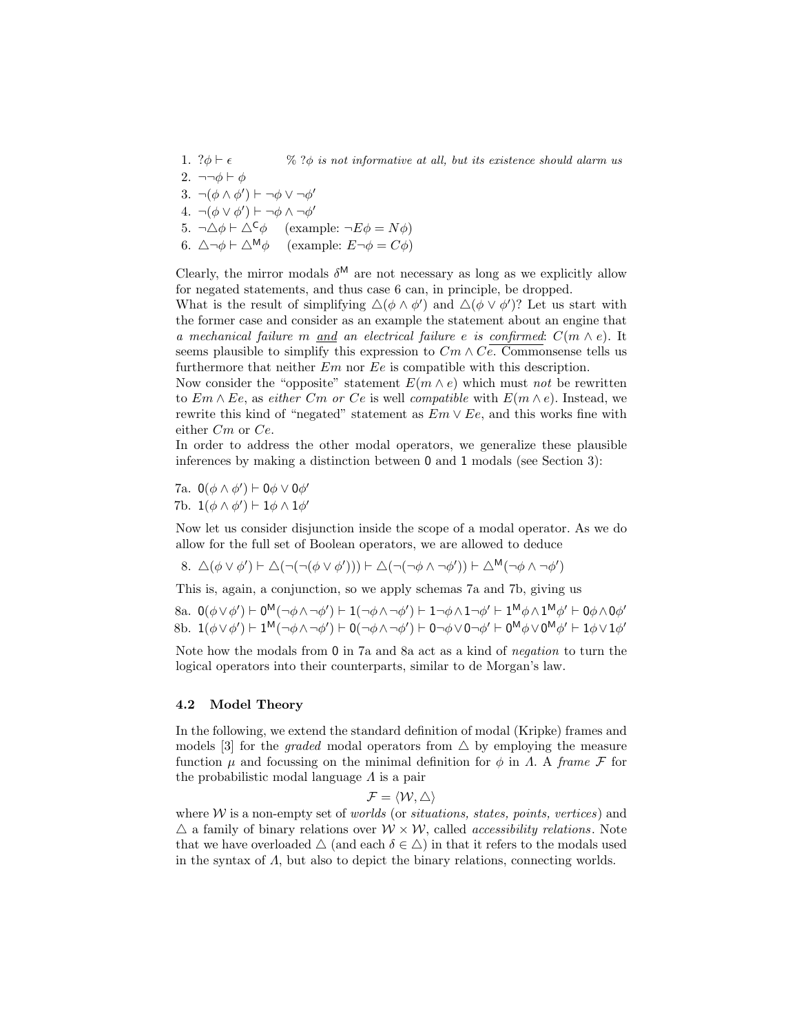1.  $? \phi \vdash \epsilon$  % ? $\phi$  is not informative at all, but its existence should alarm us 2.  $\neg\neg\phi \vdash \phi$ 3.  $\neg(\phi \land \phi') \vdash \neg \phi \lor \neg \phi'$ 4.  $\neg(\phi \lor \phi') \vdash \neg \phi \land \neg \phi'$ 5.  $\neg \triangle \phi \vdash \triangle^{\mathsf{C}} \phi$  (example:  $\neg E \phi = N \phi$ ) 6.  $\triangle \neg \phi \vdash \triangle^{\mathsf{M}} \phi$  (example:  $E \neg \phi = C\phi$ )

Clearly, the mirror modals  $\delta^M$  are not necessary as long as we explicitly allow for negated statements, and thus case 6 can, in principle, be dropped.

What is the result of simplifying  $\Delta(\phi \wedge \phi')$  and  $\Delta(\phi \vee \phi')$ ? Let us start with the former case and consider as an example the statement about an engine that a mechanical failure m <u>and</u> an electrical failure e is confirmed:  $C(m \wedge e)$ . It seems plausible to simplify this expression to  $Cm \wedge Ce$ . Commonsense tells us furthermore that neither  $Em$  nor  $Ee$  is compatible with this description.

Now consider the "opposite" statement  $E(m \wedge e)$  which must not be rewritten to  $Em \wedge Ee$ , as either Cm or Ce is well compatible with  $E(m \wedge e)$ . Instead, we rewrite this kind of "negated" statement as  $Em \vee Ee$ , and this works fine with either Cm or Ce.

In order to address the other modal operators, we generalize these plausible inferences by making a distinction between 0 and 1 modals (see Section 3):

7a.  $0(\phi \wedge \phi') \vdash 0\phi \vee 0\phi'$ 7b.  $1(\phi \wedge \phi') \vdash 1\phi \wedge 1\phi'$ 

Now let us consider disjunction inside the scope of a modal operator. As we do allow for the full set of Boolean operators, we are allowed to deduce

8.  $\Delta(\phi \vee \phi') \vdash \Delta(\neg(\neg(\phi \vee \phi'))) \vdash \Delta(\neg(\neg \phi \wedge \neg \phi')) \vdash \Delta^{\mathsf{M}}(\neg \phi \wedge \neg \phi')$ 

This is, again, a conjunction, so we apply schemas 7a and 7b, giving us

8a. 
$$
0(\phi \vee \phi') \vdash 0^M(\neg \phi \wedge \neg \phi') \vdash 1(\neg \phi \wedge \neg \phi') \vdash 1 \neg \phi \wedge 1 \neg \phi' \vdash 1^M \phi \wedge 1^M \phi' \vdash 0 \phi \wedge 0 \phi'
$$
  
\n8b. 
$$
1(\phi \vee \phi') \vdash 1^M(\neg \phi \wedge \neg \phi') \vdash 0(\neg \phi \wedge \neg \phi') \vdash 0 \neg \phi \vee 0 \neg \phi' \vdash 0^M \phi \vee 0^M \phi' \vdash 1 \phi \vee 1 \phi'
$$

Note how the modals from 0 in 7a and 8a act as a kind of negation to turn the logical operators into their counterparts, similar to de Morgan's law.

#### 4.2 Model Theory

In the following, we extend the standard definition of modal (Kripke) frames and models [3] for the *graded* modal operators from  $\triangle$  by employing the measure function  $\mu$  and focussing on the minimal definition for  $\phi$  in  $\Lambda$ . A frame  $\mathcal F$  for the probabilistic modal language  $\Lambda$  is a pair

$$
\mathcal{F} = \langle \mathcal{W}, \triangle \rangle
$$

where  $W$  is a non-empty set of *worlds* (or *situations*, *states, points, vertices*) and  $\triangle$  a family of binary relations over  $\mathcal{W} \times \mathcal{W}$ , called *accessibility relations*. Note that we have overloaded  $\Delta$  (and each  $\delta \in \Delta$ ) in that it refers to the modals used in the syntax of  $\Lambda$ , but also to depict the binary relations, connecting worlds.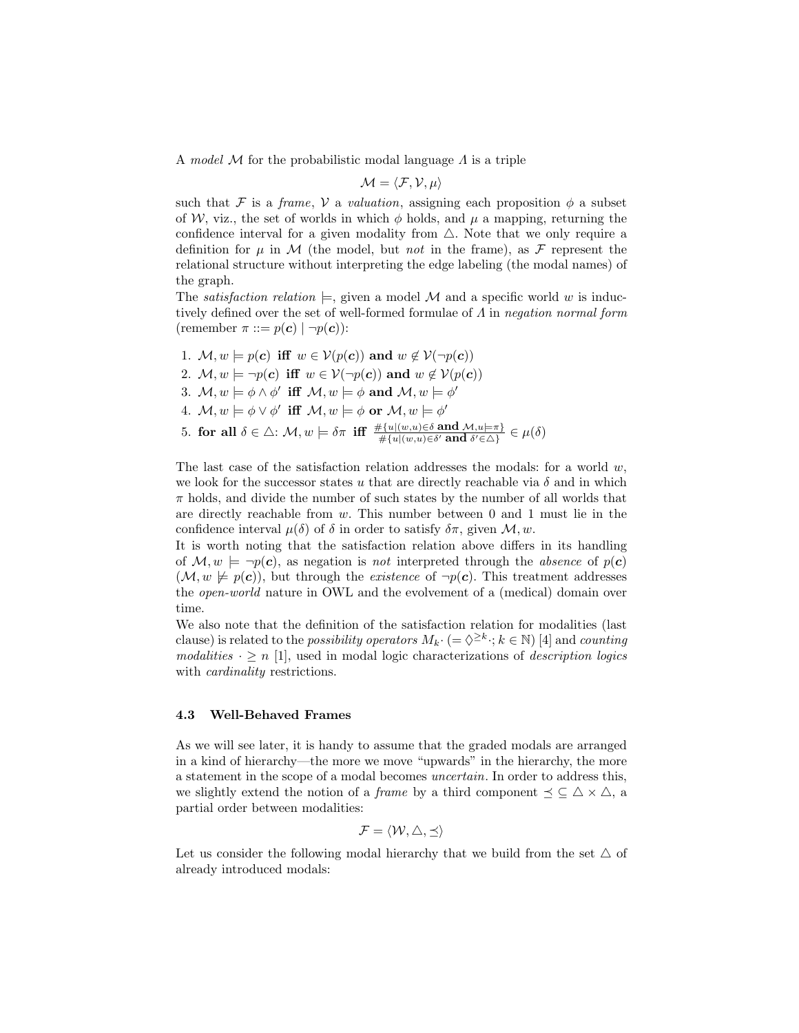A model M for the probabilistic modal language  $\Lambda$  is a triple

$$
\mathcal{M} = \langle \mathcal{F}, \mathcal{V}, \mu \rangle
$$

such that F is a frame, V a valuation, assigning each proposition  $\phi$  a subset of W, viz., the set of worlds in which  $\phi$  holds, and  $\mu$  a mapping, returning the confidence interval for a given modality from  $\triangle$ . Note that we only require a definition for  $\mu$  in M (the model, but *not* in the frame), as F represent the relational structure without interpreting the edge labeling (the modal names) of the graph.

The *satisfaction relation*  $\models$ , given a model M and a specific world w is inductively defined over the set of well-formed formulae of  $\Lambda$  in negation normal form (remember  $\pi ::= p(c) | \neg p(c)$ ):

1.  $\mathcal{M}, w \models p(c)$  iff  $w \in \mathcal{V}(p(c))$  and  $w \notin \mathcal{V}(\neg p(c))$ 2.  $\mathcal{M}, w \models \neg p(c)$  iff  $w \in \mathcal{V}(\neg p(c))$  and  $w \notin \mathcal{V}(p(c))$ 3.  $\mathcal{M}, w \models \phi \land \phi'$  iff  $\mathcal{M}, w \models \phi$  and  $\mathcal{M}, w \models \phi'$ 4.  $\mathcal{M}, w \models \phi \lor \phi'$  iff  $\mathcal{M}, w \models \phi$  or  $\mathcal{M}, w \models \phi'$ 5. for all  $\delta \in \triangle$ :  $\mathcal{M}, w \models \delta \pi$  iff  $\frac{\# \{u | (w,u) \in \delta \text{ and } \mathcal{M}, u \models \pi\}}{\# \{u | (w,u) \in \delta' \text{ and } \delta' \in \triangle \}} \in \mu(\delta)$ 

The last case of the satisfaction relation addresses the modals: for a world  $w$ , we look for the successor states u that are directly reachable via  $\delta$  and in which  $\pi$  holds, and divide the number of such states by the number of all worlds that are directly reachable from  $w$ . This number between 0 and 1 must lie in the confidence interval  $\mu(\delta)$  of  $\delta$  in order to satisfy  $\delta \pi$ , given  $\mathcal{M}, w$ .

It is worth noting that the satisfaction relation above differs in its handling of  $\mathcal{M}, w \models \neg p(c)$ , as negation is not interpreted through the absence of  $p(c)$  $(\mathcal{M}, w \not\models p(c))$ , but through the existence of  $\neg p(c)$ . This treatment addresses the open-world nature in OWL and the evolvement of a (medical) domain over time.

We also note that the definition of the satisfaction relation for modalities (last clause) is related to the *possibility operators*  $M_k \cdot (= \Diamond^{\geq k} \cdot; k \in \mathbb{N})$  [4] and *counting*  $modalities \geq n$  [1], used in modal logic characterizations of *description logics* with *cardinality* restrictions.

#### 4.3 Well-Behaved Frames

As we will see later, it is handy to assume that the graded modals are arranged in a kind of hierarchy—the more we move "upwards" in the hierarchy, the more a statement in the scope of a modal becomes uncertain. In order to address this, we slightly extend the notion of a *frame* by a third component  $\preceq \subseteq \triangle \times \triangle$ , a partial order between modalities:

$$
\mathcal{F} = \langle \mathcal{W}, \triangle, \preceq \rangle
$$

Let us consider the following modal hierarchy that we build from the set  $\triangle$  of already introduced modals: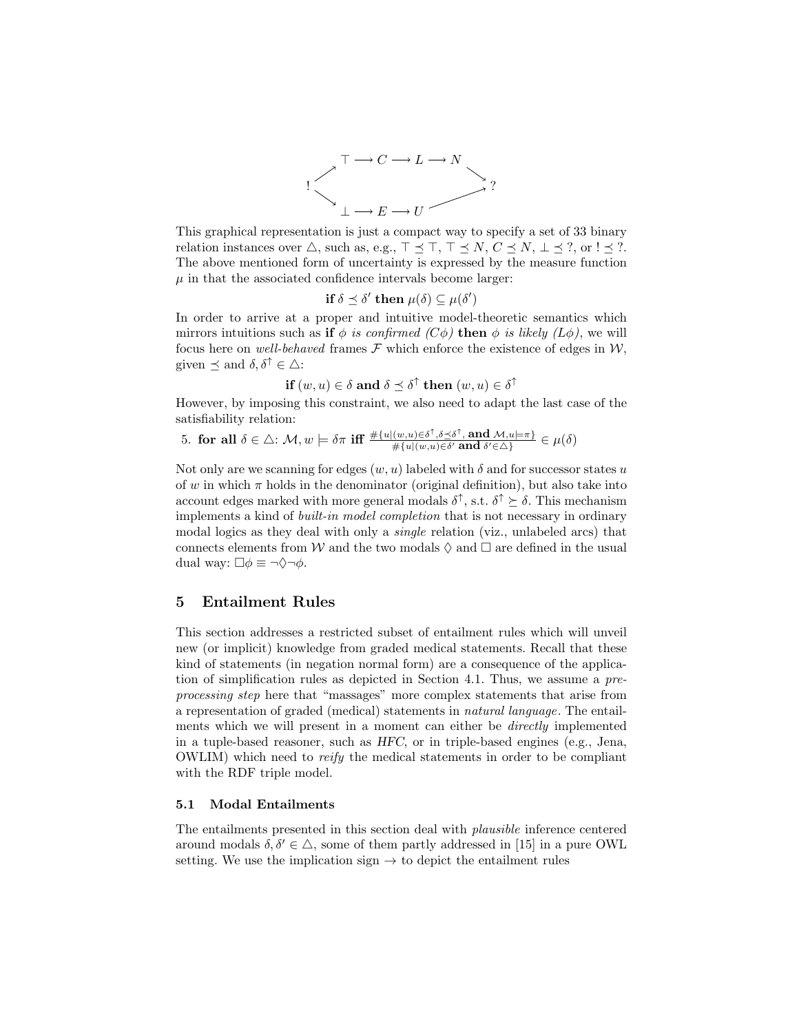

This graphical representation is just a compact way to specify a set of 33 binary relation instances over  $\triangle$ , such as, e.g.,  $\top \preceq \top$ ,  $\top \preceq N$ ,  $C \preceq N$ ,  $\bot \preceq ?$ , or  $!\preceq ?$ . The above mentioned form of uncertainty is expressed by the measure function  $\mu$  in that the associated confidence intervals become larger:

$$
\text{if } \delta \preceq \delta' \text{ then } \mu(\delta) \subseteq \mu(\delta')
$$

In order to arrive at a proper and intuitive model-theoretic semantics which mirrors intuitions such as if  $\phi$  is confirmed  $(C\phi)$  then  $\phi$  is likely  $(L\phi)$ , we will focus here on *well-behaved* frames  $\mathcal F$  which enforce the existence of edges in  $\mathcal W$ , given  $\preceq$  and  $\delta, \delta^{\uparrow} \in \triangle$ :

$$
\text{if } (w, u) \in \delta \text{ and } \delta \leq \delta^{\uparrow} \text{ then } (w, u) \in \delta^{\uparrow}
$$

However, by imposing this constraint, we also need to adapt the last case of the satisfiability relation:

5. for all  $\delta \in \triangle$ :  $\mathcal{M}, w \models \delta \pi$  iff  $\frac{\#\{u|(w,u) \in \delta^{\uparrow}, \delta \preceq \delta^{\uparrow}, \text{and } \mathcal{M}, u \models \pi\}}{\#\{u|(w,u) \in \delta^{\uparrow}, \text{and } \delta \subseteq \Delta\}}$  $\{ (w,u)\in \delta', \delta \leq \delta', \text{ and } \mathcal{M}, u \models \pi \}$ <br>  $\# \{ u | (w,u) \in \delta' \text{ and } \delta' \in \Delta \}$ 

Not only are we scanning for edges  $(w, u)$  labeled with  $\delta$  and for successor states u of w in which  $\pi$  holds in the denominator (original definition), but also take into account edges marked with more general modals  $\delta^{\uparrow}$ , s.t.  $\delta^{\uparrow} \succeq \delta$ . This mechanism implements a kind of built-in model completion that is not necessary in ordinary modal logics as they deal with only a single relation (viz., unlabeled arcs) that connects elements from W and the two modals  $\Diamond$  and  $\Box$  are defined in the usual dual way:  $\Box \phi \equiv \neg \Diamond \neg \phi$ .

# 5 Entailment Rules

This section addresses a restricted subset of entailment rules which will unveil new (or implicit) knowledge from graded medical statements. Recall that these kind of statements (in negation normal form) are a consequence of the application of simplification rules as depicted in Section 4.1. Thus, we assume a preprocessing step here that "massages" more complex statements that arise from a representation of graded (medical) statements in natural language. The entailments which we will present in a moment can either be *directly* implemented in a tuple-based reasoner, such as HFC, or in triple-based engines (e.g., Jena,  $\text{OWLIM}$ ) which need to reify the medical statements in order to be compliant with the RDF triple model.

#### 5.1 Modal Entailments

The entailments presented in this section deal with plausible inference centered around modals  $\delta, \delta' \in \Delta$ , some of them partly addressed in [15] in a pure OWL setting. We use the implication sign  $\rightarrow$  to depict the entailment rules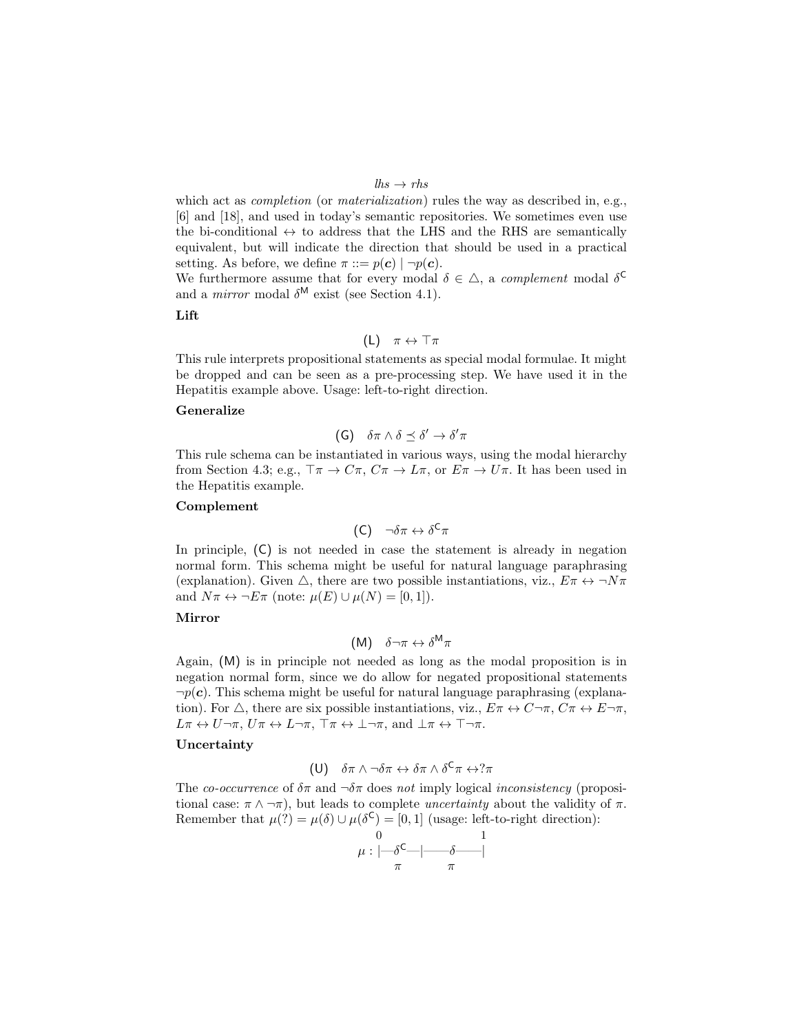# $\mathit{lhs} \rightarrow \mathit{rhs}$

which act as *completion* (or *materialization*) rules the way as described in, e.g., [6] and [18], and used in today's semantic repositories. We sometimes even use the bi-conditional  $\leftrightarrow$  to address that the LHS and the RHS are semantically equivalent, but will indicate the direction that should be used in a practical setting. As before, we define  $\pi ::= p(c) | \neg p(c)$ .

We furthermore assume that for every modal  $\delta \in \Delta$ , a complement modal  $\delta^{\mathsf{C}}$ and a *mirror* modal  $\delta^{\mathsf{M}}$  exist (see Section 4.1).

Lift

(L)  $\pi \leftrightarrow \top \pi$ 

This rule interprets propositional statements as special modal formulae. It might be dropped and can be seen as a pre-processing step. We have used it in the Hepatitis example above. Usage: left-to-right direction.

#### Generalize

(G) 
$$
\delta \pi \wedge \delta \preceq \delta' \rightarrow \delta' \pi
$$

This rule schema can be instantiated in various ways, using the modal hierarchy from Section 4.3; e.g.,  $\top \pi \to C\pi$ ,  $C\pi \to L\pi$ , or  $E\pi \to U\pi$ . It has been used in the Hepatitis example.

#### Complement

$$
(\mathsf{C}) \quad \neg \delta \pi \leftrightarrow \delta^{\mathsf{C}} \pi
$$

In principle, (C) is not needed in case the statement is already in negation normal form. This schema might be useful for natural language paraphrasing (explanation). Given  $\triangle$ , there are two possible instantiations, viz.,  $E\pi \leftrightarrow \neg N\pi$ and  $N\pi \leftrightarrow \neg E\pi$  (note:  $\mu(E) \cup \mu(N) = [0, 1]$ ).

## Mirror

$$
(\mathsf{M})\quad\delta\neg\pi\leftrightarrow\delta^{\mathsf{M}}\pi
$$

Again, (M) is in principle not needed as long as the modal proposition is in negation normal form, since we do allow for negated propositional statements  $\neg p(c)$ . This schema might be useful for natural language paraphrasing (explanation). For  $\triangle$ , there are six possible instantiations, viz.,  $E\pi \leftrightarrow C\neg\pi$ ,  $C\pi \leftrightarrow E\neg\pi$ ,  $L\pi \leftrightarrow U \neg \pi$ ,  $U\pi \leftrightarrow L \neg \pi$ ,  $\top \pi \leftrightarrow \bot \neg \pi$ , and  $\bot \pi \leftrightarrow \top \neg \pi$ .

#### Uncertainty

$$
(U) \quad \delta \pi \wedge \neg \delta \pi \leftrightarrow \delta \pi \wedge \delta^C \pi \leftrightarrow ?\pi
$$

The co-occurrence of  $\delta \pi$  and  $\neg \delta \pi$  does not imply logical inconsistency (propositional case:  $\pi \wedge \neg \pi$ , but leads to complete *uncertainty* about the validity of  $\pi$ . Remember that  $\mu(?) = \mu(\delta) \cup \mu(\delta^{\mathsf{C}}) = [0,1]$  (usage: left-to-right direction):

$$
\mu : |-\delta^{\text{C}}_{\text{max}}| \text{ and } \frac{1}{\pi}
$$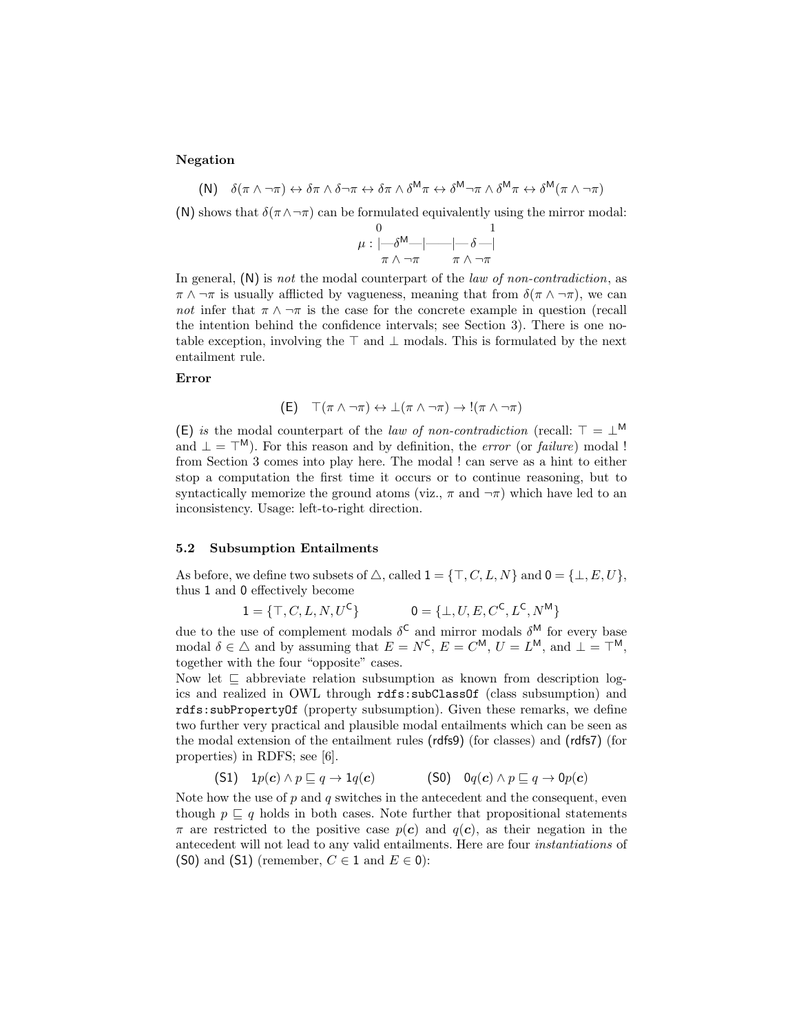### Negation

 $(N)$   $\delta(\pi \wedge \neg \pi) \leftrightarrow \delta \pi \wedge \delta \neg \pi \leftrightarrow \delta \pi \wedge \delta^{\mathsf{M}} \pi \leftrightarrow \delta^{\mathsf{M}} \neg \pi \wedge \delta^{\mathsf{M}} \pi \leftrightarrow \delta^{\mathsf{M}}(\pi \wedge \neg \pi)$ 

(N) shows that  $\delta(\pi \wedge \neg \pi)$  can be formulated equivalently using the mirror modal:

$$
\mu: \frac{0}{|\mathcal{M}-|\mathcal{M}|} \longrightarrow \frac{1}{\pi \wedge \neg \pi}
$$

In general,  $(N)$  is not the modal counterpart of the *law of non-contradiction*, as  $\pi \wedge \neg \pi$  is usually afflicted by vagueness, meaning that from  $\delta(\pi \wedge \neg \pi)$ , we can not infer that  $\pi \wedge \neg \pi$  is the case for the concrete example in question (recall the intention behind the confidence intervals; see Section 3). There is one notable exception, involving the  $\top$  and  $\bot$  modals. This is formulated by the next entailment rule.

#### Error

(E) 
$$
\top(\pi \wedge \neg \pi) \leftrightarrow \bot(\pi \wedge \neg \pi) \rightarrow !(\pi \wedge \neg \pi)
$$

(E) is the modal counterpart of the law of non-contradiction (recall:  $\top = \bot^{\mathsf{M}}$ and  $\perp = \top^M$ ). For this reason and by definition, the *error* (or *failure*) modal ! from Section 3 comes into play here. The modal ! can serve as a hint to either stop a computation the first time it occurs or to continue reasoning, but to syntactically memorize the ground atoms (viz.,  $\pi$  and  $\neg \pi$ ) which have led to an inconsistency. Usage: left-to-right direction.

#### 5.2 Subsumption Entailments

As before, we define two subsets of  $\triangle$ , called  $1 = \{\top, C, L, N\}$  and  $0 = \{\bot, E, U\}$ , thus 1 and 0 effectively become

> $1 = \{\top, C, L, N, U^C\}$ }  $0 = {\{\perp, U, E, C^{\mathsf{C}}, L^{\mathsf{C}}, N^{\mathsf{M}}\}}$

due to the use of complement modals  $\delta^{\mathsf{C}}$  and mirror modals  $\delta^{\mathsf{M}}$  for every base modal  $\delta \in \Delta$  and by assuming that  $E = N^{\mathsf{C}}, E = C^{\mathsf{M}}, U = L^{\mathsf{M}}, \text{ and } \bot = \top^{\mathsf{M}},$ together with the four "opposite" cases.

Now let  $\Box$  abbreviate relation subsumption as known from description logics and realized in OWL through rdfs:subClassOf (class subsumption) and rdfs:subPropertyOf (property subsumption). Given these remarks, we define two further very practical and plausible modal entailments which can be seen as the modal extension of the entailment rules (rdfs9) (for classes) and (rdfs7) (for properties) in RDFS; see [6].

$$
(S1) \quad 1p(c) \land p \sqsubseteq q \to 1q(c) \qquad \qquad (S0) \quad 0q(c) \land p \sqsubseteq q \to 0p(c)
$$

Note how the use of  $p$  and  $q$  switches in the antecedent and the consequent, even though  $p \subseteq q$  holds in both cases. Note further that propositional statements  $\pi$  are restricted to the positive case  $p(c)$  and  $q(c)$ , as their negation in the antecedent will not lead to any valid entailments. Here are four instantiations of (S0) and (S1) (remember,  $C \in 1$  and  $E \in 0$ ):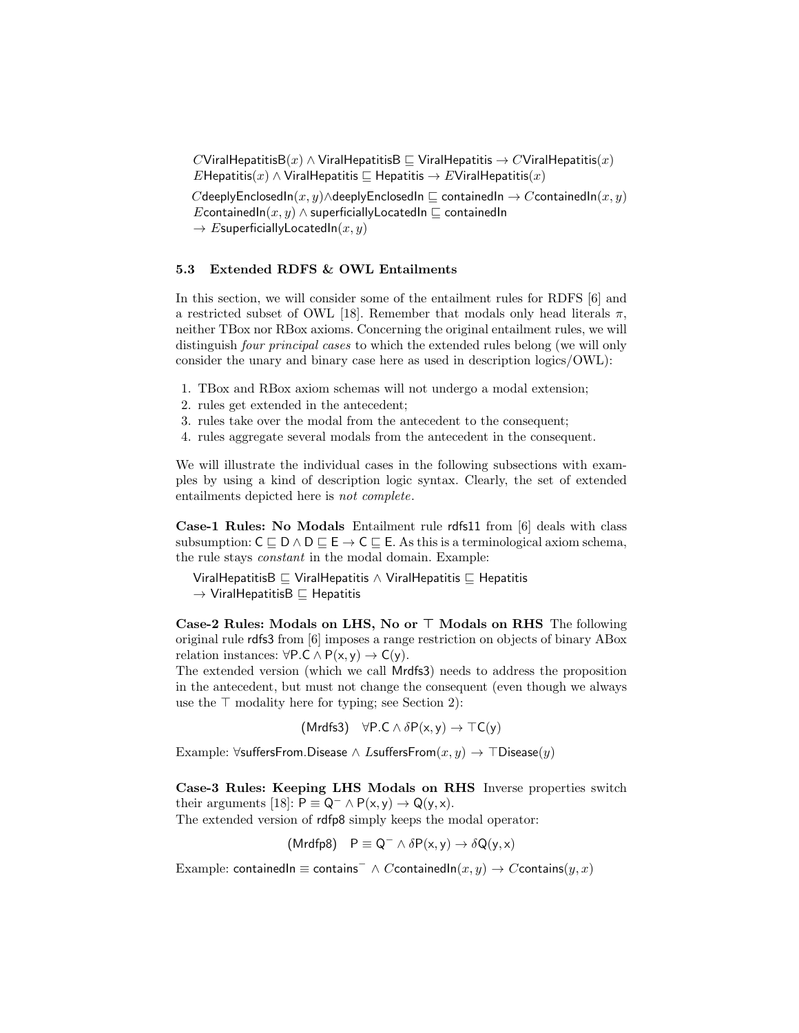$C$ ViralHepatitisB $(x) \wedge V$ iralHepatitisB  $\sqsubseteq$  ViralHepatitis  $\rightarrow C$ ViralHepatitis $(x)$ EHepatitis $(x) \wedge$  ViralHepatitis  $\Box$  Hepatitis  $\rightarrow$  EViralHepatitis $(x)$ 

 $C$ deeplyEnclosedIn $(x, y) \wedge$ deeplyEnclosedIn  $\sqsubset$  containedIn  $\rightarrow$  CcontainedIn $(x, y)$ EcontainedIn $(x, y) \wedge$  superficiallyLocatedIn  $\sqsubseteq$  containedIn  $\rightarrow$  EsuperficiallyLocatedIn $(x, y)$ 

#### 5.3 Extended RDFS & OWL Entailments

In this section, we will consider some of the entailment rules for RDFS [6] and a restricted subset of OWL [18]. Remember that modals only head literals  $\pi$ , neither TBox nor RBox axioms. Concerning the original entailment rules, we will distinguish *four principal cases* to which the extended rules belong (we will only consider the unary and binary case here as used in description logics/OWL):

- 1. TBox and RBox axiom schemas will not undergo a modal extension;
- 2. rules get extended in the antecedent;
- 3. rules take over the modal from the antecedent to the consequent;
- 4. rules aggregate several modals from the antecedent in the consequent.

We will illustrate the individual cases in the following subsections with examples by using a kind of description logic syntax. Clearly, the set of extended entailments depicted here is not complete.

Case-1 Rules: No Modals Entailment rule rdfs11 from [6] deals with class subsumption:  $C \sqsubseteq D \land D \sqsubseteq E \rightarrow C \sqsubseteq E$ . As this is a terminological axiom schema, the rule stays constant in the modal domain. Example:

ViralHepatitisB  $\Box$  ViralHepatitis  $\land$  ViralHepatitis  $\Box$  Hepatitis

$$
\rightarrow \mathsf{ViralHepatitisB} \sqsubseteq \mathsf{Hepatitis}
$$

Case-2 Rules: Modals on LHS, No or  $\top$  Modals on RHS The following original rule rdfs3 from [6] imposes a range restriction on objects of binary ABox relation instances:  $\forall P.C \land P(x,y) \rightarrow C(y)$ .

The extended version (which we call Mrdfs3) needs to address the proposition in the antecedent, but must not change the consequent (even though we always use the  $\top$  modality here for typing; see Section 2):

 $(Mrdfs3) \quad \forall P.C \land \delta P(x,y) \rightarrow \top C(y)$ 

Example:  $\forall$ suffersFrom.Disease ∧ LsuffersFrom $(x, y) \rightarrow \top$ Disease $(y)$ 

Case-3 Rules: Keeping LHS Modals on RHS Inverse properties switch their arguments [18]:  $P \equiv Q^- \wedge P(x, y) \rightarrow Q(y, x)$ . The extended version of rdfp8 simply keeps the modal operator:

 $(Mrdfp8)$   $P \equiv Q^- \wedge \delta P(x, y) \rightarrow \delta Q(y, x)$ 

Example: containedIn  $\equiv$  contains<sup>-</sup> ∧ CcontainedIn $(x, y) \rightarrow C$ contains $(y, x)$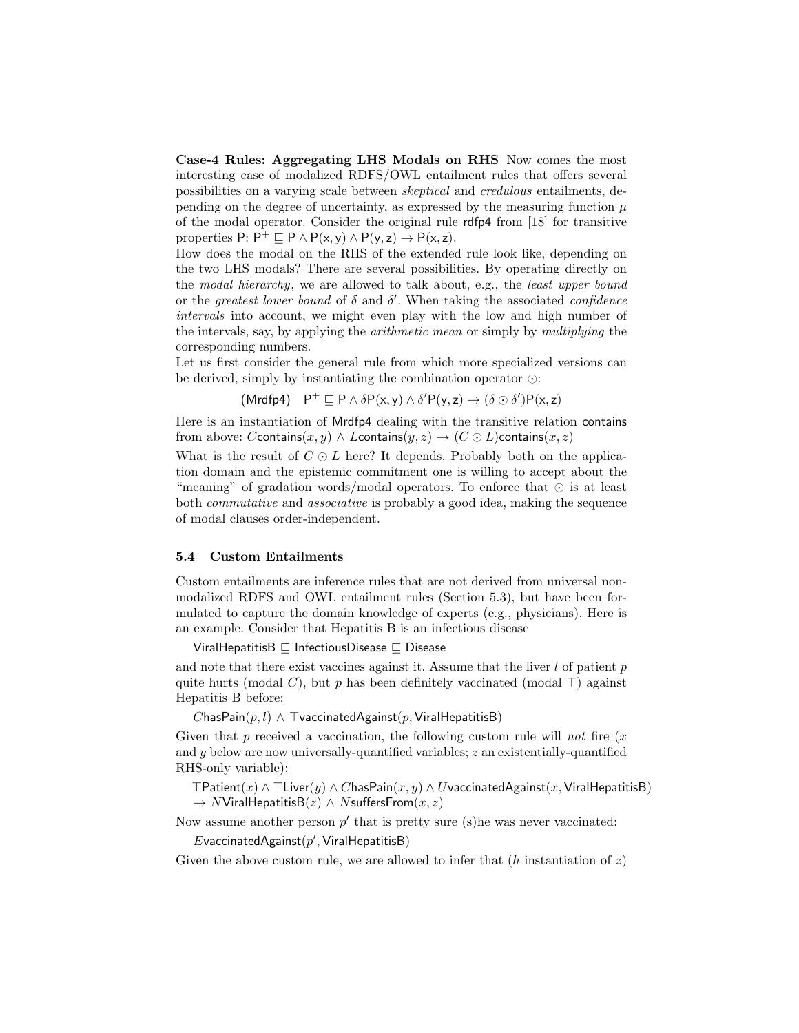Case-4 Rules: Aggregating LHS Modals on RHS Now comes the most interesting case of modalized RDFS/OWL entailment rules that offers several possibilities on a varying scale between skeptical and credulous entailments, depending on the degree of uncertainty, as expressed by the measuring function  $\mu$ of the modal operator. Consider the original rule rdfp4 from [18] for transitive properties  $P: P^+ \sqsubseteq P \wedge P(x, y) \wedge P(y, z) \rightarrow P(x, z)$ .

How does the modal on the RHS of the extended rule look like, depending on the two LHS modals? There are several possibilities. By operating directly on the modal hierarchy, we are allowed to talk about, e.g., the least upper bound or the greatest lower bound of  $\delta$  and  $\delta'$ . When taking the associated confidence intervals into account, we might even play with the low and high number of the intervals, say, by applying the arithmetic mean or simply by multiplying the corresponding numbers.

Let us first consider the general rule from which more specialized versions can be derived, simply by instantiating the combination operator  $\odot$ :

$$
(\mathsf{Mrdfp4}) \quad P^+ \sqsubseteq P \land \delta P(x,y) \land \delta' P(y,z) \to (\delta \odot \delta') P(x,z)
$$

Here is an instantiation of Mrdfp4 dealing with the transitive relation contains from above: Ccontains $(x, y) \wedge L$ contains $(y, z) \rightarrow (C \odot L)$ contains $(x, z)$ 

What is the result of  $C \odot L$  here? It depends. Probably both on the application domain and the epistemic commitment one is willing to accept about the "meaning" of gradation words/modal operators. To enforce that  $\odot$  is at least both commutative and associative is probably a good idea, making the sequence of modal clauses order-independent.

#### 5.4 Custom Entailments

Custom entailments are inference rules that are not derived from universal nonmodalized RDFS and OWL entailment rules (Section 5.3), but have been formulated to capture the domain knowledge of experts (e.g., physicians). Here is an example. Consider that Hepatitis B is an infectious disease

```
ViralHepatitisB \sqsubset InfectiousDisease \sqsubset Disease
```
and note that there exist vaccines against it. Assume that the liver  $l$  of patient  $p$ quite hurts (modal C), but p has been definitely vaccinated (modal  $\top$ ) against Hepatitis B before:

 $ChasPair(p, l) \wedge \top$ vaccinatedAgainst $(p, V$ iralHepatitisB)

Given that p received a vaccination, the following custom rule will not fire  $(x)$ and  $y$  below are now universally-quantified variables;  $z$  an existentially-quantified RHS-only variable):

 $\top$ Patient $(x) \wedge \top$ Liver $(y) \wedge C$ hasPain $(x, y) \wedge U$ vaccinatedAgainst $(x, V$ iralHepatitisB)  $\rightarrow N$ ViralHepatitisB $(z) \wedge N$ suffersFrom $(x, z)$ 

Now assume another person  $p'$  that is pretty sure (s) he was never vaccinated:

 $E$ vaccinatedAgainst $(p',$ ViralHepatitisB)

Given the above custom rule, we are allowed to infer that  $(h$  instantiation of z)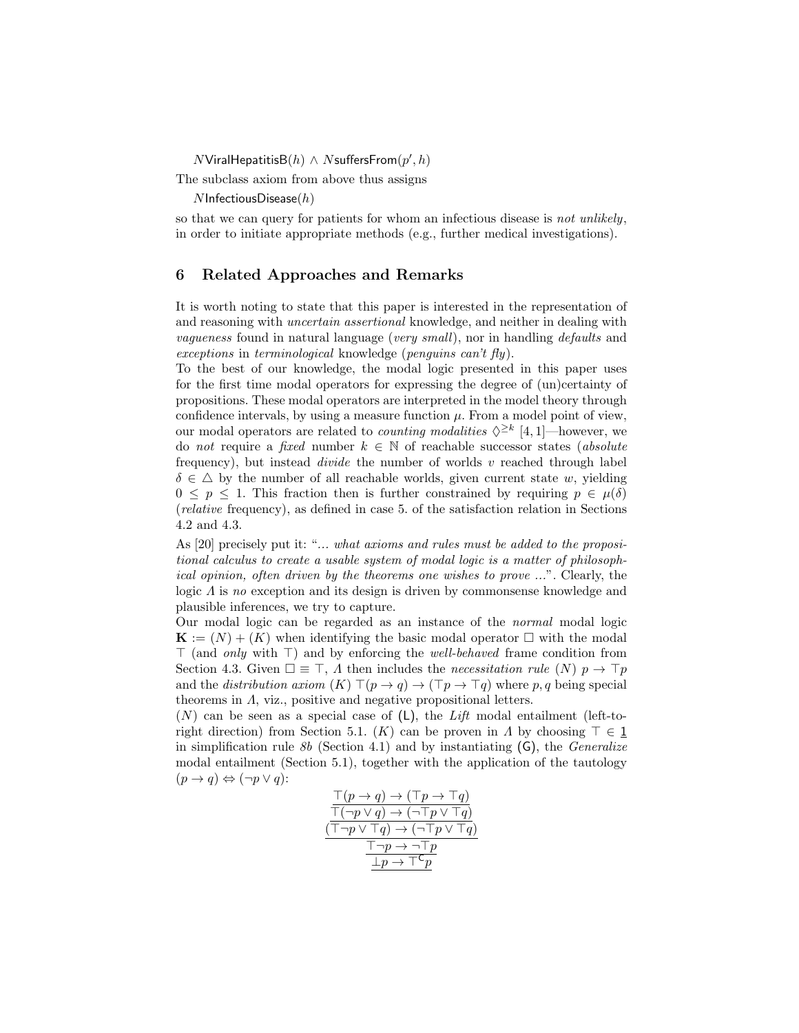$N$ ViralHepatitis $\mathsf{B}(h) \wedge N$ suffersFrom $(p',h)$ 

The subclass axiom from above thus assigns

 $N$ InfectiousDisease $(h)$ 

so that we can query for patients for whom an infectious disease is not unlikely. in order to initiate appropriate methods (e.g., further medical investigations).

## 6 Related Approaches and Remarks

It is worth noting to state that this paper is interested in the representation of and reasoning with *uncertain assertional* knowledge, and neither in dealing with vagueness found in natural language (very small), nor in handling defaults and exceptions in terminological knowledge (penguins can't fly).

To the best of our knowledge, the modal logic presented in this paper uses for the first time modal operators for expressing the degree of (un)certainty of propositions. These modal operators are interpreted in the model theory through confidence intervals, by using a measure function  $\mu$ . From a model point of view, our modal operators are related to *counting modalities*  $\Diamond^{\geq k}$  [4, 1]—however, we do not require a fixed number  $k \in \mathbb{N}$  of reachable successor states (absolute frequency), but instead *divide* the number of worlds v reached through label  $\delta \in \Delta$  by the number of all reachable worlds, given current state w, yielding  $0 \leq p \leq 1$ . This fraction then is further constrained by requiring  $p \in \mu(\delta)$ (relative frequency), as defined in case 5. of the satisfaction relation in Sections 4.2 and 4.3.

As [20] precisely put it: "... what axioms and rules must be added to the propositional calculus to create a usable system of modal logic is a matter of philosophical opinion, often driven by the theorems one wishes to prove ...". Clearly, the logic  $\Lambda$  is no exception and its design is driven by commonsense knowledge and plausible inferences, we try to capture.

Our modal logic can be regarded as an instance of the normal modal logic  $\mathbf{K} := (N) + (K)$  when identifying the basic modal operator  $\Box$  with the modal  $\top$  (and only with  $\top$ ) and by enforcing the *well-behaved* frame condition from Section 4.3. Given  $\square \equiv \top$ , A then includes the *necessitation rule* (N)  $p \to \top p$ and the distribution axiom  $(K) \top (p \rightarrow q) \rightarrow (\top p \rightarrow \top q)$  where p, q being special theorems in  $\Lambda$ , viz., positive and negative propositional letters.

 $(N)$  can be seen as a special case of  $(L)$ , the Lift modal entailment (left-toright direction) from Section 5.1. (K) can be proven in  $\Lambda$  by choosing  $\top \in \mathbf{1}$ in simplification rule 8b (Section 4.1) and by instantiating  $(G)$ , the *Generalize* modal entailment (Section 5.1), together with the application of the tautology  $(p \to q) \Leftrightarrow (\neg p \lor q)$ :

$$
\frac{\top(p \to q) \to (\top p \to \top q)}{\top(\neg p \lor q) \to (\neg \top p \lor \top q)} \\
\frac{(\top \neg p \lor \top q) \to (\neg \top p \lor \top q)}{\top \neg p \to \neg \top p} \\
\frac{\top \neg p \to \neg \top p}{\bot p \to \top \neg p}
$$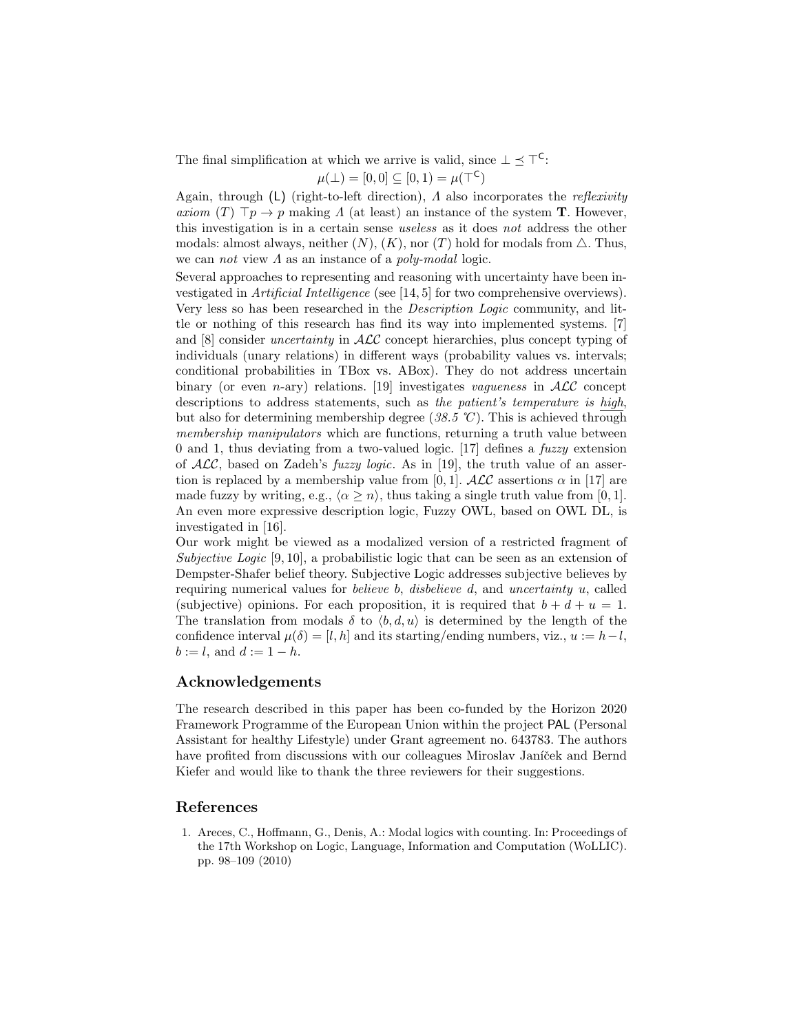The final simplification at which we arrive is valid, since  $\perp \preceq \top^{\mathsf{C}}$ :  $\mu(\perp) = [0,0] \subseteq [0,1) = \mu(\top^{\mathsf{C}})$ 

Again, through (L) (right-to-left direction),  $\Lambda$  also incorporates the reflexivity axiom (T)  $\top p \to p$  making  $\Lambda$  (at least) an instance of the system **T**. However, this investigation is in a certain sense useless as it does not address the other modals: almost always, neither  $(N)$ ,  $(K)$ , nor  $(T)$  hold for modals from  $\Delta$ . Thus, we can not view  $\Lambda$  as an instance of a *poly-modal* logic.

Several approaches to representing and reasoning with uncertainty have been investigated in Artificial Intelligence (see [14, 5] for two comprehensive overviews). Very less so has been researched in the Description Logic community, and little or nothing of this research has find its way into implemented systems. [7] and  $[8]$  consider *uncertainty* in  $\text{ALC}$  concept hierarchies, plus concept typing of individuals (unary relations) in different ways (probability values vs. intervals; conditional probabilities in TBox vs. ABox). They do not address uncertain binary (or even *n*-ary) relations. [19] investigates *vagueness* in  $ALC$  concept descriptions to address statements, such as the patient's temperature is high, but also for determining membership degree (38.5 °C). This is achieved through membership manipulators which are functions, returning a truth value between 0 and 1, thus deviating from a two-valued logic. [17] defines a fuzzy extension of  $\mathcal{ALC}$ , based on Zadeh's *fuzzy logic*. As in [19], the truth value of an assertion is replaced by a membership value from [0, 1].  $\text{ALC}$  assertions  $\alpha$  in [17] are made fuzzy by writing, e.g.,  $\langle \alpha \rangle$  n), thus taking a single truth value from [0, 1]. An even more expressive description logic, Fuzzy OWL, based on OWL DL, is investigated in [16].

Our work might be viewed as a modalized version of a restricted fragment of Subjective Logic [9, 10], a probabilistic logic that can be seen as an extension of Dempster-Shafer belief theory. Subjective Logic addresses subjective believes by requiring numerical values for *believe b, disbelieve d,* and *uncertainty u,* called (subjective) opinions. For each proposition, it is required that  $b + d + u = 1$ . The translation from modals  $\delta$  to  $\langle b, d, u \rangle$  is determined by the length of the confidence interval  $\mu(\delta) = [l, h]$  and its starting/ending numbers, viz.,  $u := h - l$ ,  $b := l$ , and  $d := 1 - h$ .

# Acknowledgements

The research described in this paper has been co-funded by the Horizon 2020 Framework Programme of the European Union within the project PAL (Personal Assistant for healthy Lifestyle) under Grant agreement no. 643783. The authors have profited from discussions with our colleagues Miroslav Janíček and Bernd Kiefer and would like to thank the three reviewers for their suggestions.

## References

1. Areces, C., Hoffmann, G., Denis, A.: Modal logics with counting. In: Proceedings of the 17th Workshop on Logic, Language, Information and Computation (WoLLIC). pp. 98–109 (2010)